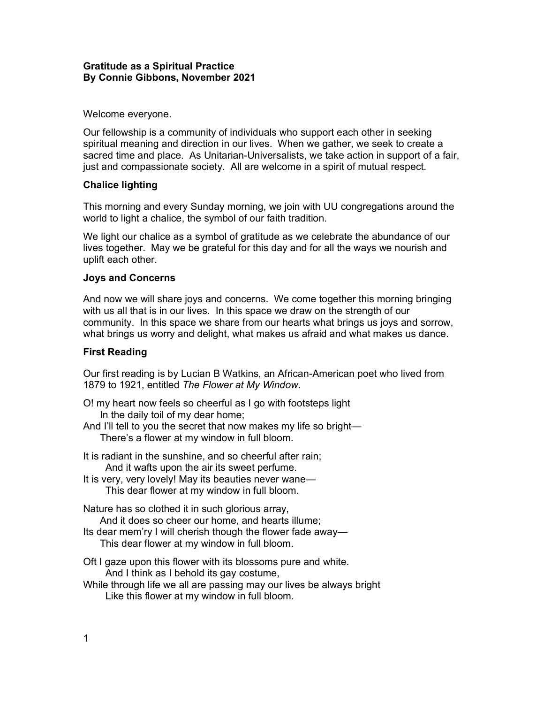## Gratitude as a Spiritual Practice By Connie Gibbons, November 2021

## Welcome everyone.

Our fellowship is a community of individuals who support each other in seeking spiritual meaning and direction in our lives. When we gather, we seek to create a sacred time and place. As Unitarian-Universalists, we take action in support of a fair, just and compassionate society. All are welcome in a spirit of mutual respect.

## Chalice lighting

This morning and every Sunday morning, we join with UU congregations around the world to light a chalice, the symbol of our faith tradition.

We light our chalice as a symbol of gratitude as we celebrate the abundance of our lives together. May we be grateful for this day and for all the ways we nourish and uplift each other.

## Joys and Concerns

And now we will share joys and concerns. We come together this morning bringing with us all that is in our lives. In this space we draw on the strength of our community. In this space we share from our hearts what brings us joys and sorrow, what brings us worry and delight, what makes us afraid and what makes us dance.

### First Reading

Our first reading is by Lucian B Watkins, an African-American poet who lived from 1879 to 1921, entitled The Flower at My Window.

- O! my heart now feels so cheerful as I go with footsteps light In the daily toil of my dear home;
- And I'll tell to you the secret that now makes my life so bright— There's a flower at my window in full bloom.
- It is radiant in the sunshine, and so cheerful after rain; And it wafts upon the air its sweet perfume.
- It is very, very lovely! May its beauties never wane— This dear flower at my window in full bloom.

Nature has so clothed it in such glorious array, And it does so cheer our home, and hearts illume; Its dear mem'ry I will cherish though the flower fade away— This dear flower at my window in full bloom.

- Oft I gaze upon this flower with its blossoms pure and white. And I think as I behold its gay costume,
- While through life we all are passing may our lives be always bright Like this flower at my window in full bloom.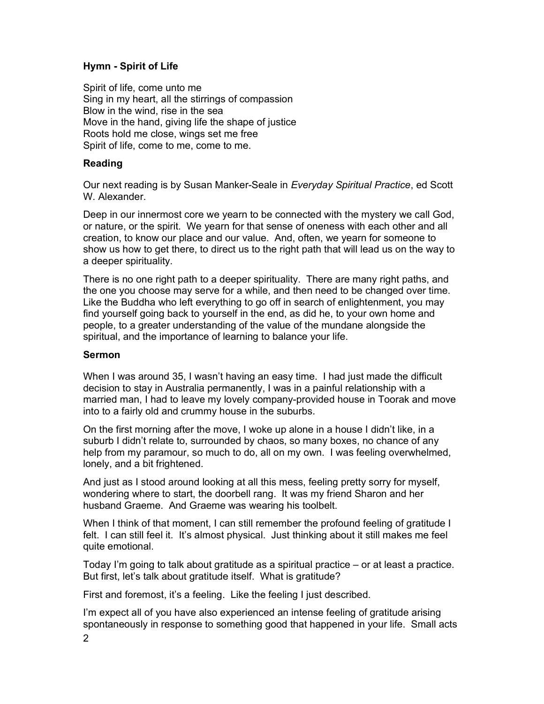# Hymn - Spirit of Life

Spirit of life, come unto me Sing in my heart, all the stirrings of compassion Blow in the wind, rise in the sea Move in the hand, giving life the shape of justice Roots hold me close, wings set me free Spirit of life, come to me, come to me.

## Reading

Our next reading is by Susan Manker-Seale in Everyday Spiritual Practice, ed Scott W. Alexander.

Deep in our innermost core we yearn to be connected with the mystery we call God, or nature, or the spirit. We yearn for that sense of oneness with each other and all creation, to know our place and our value. And, often, we yearn for someone to show us how to get there, to direct us to the right path that will lead us on the way to a deeper spirituality.

There is no one right path to a deeper spirituality. There are many right paths, and the one you choose may serve for a while, and then need to be changed over time. Like the Buddha who left everything to go off in search of enlightenment, you may find yourself going back to yourself in the end, as did he, to your own home and people, to a greater understanding of the value of the mundane alongside the spiritual, and the importance of learning to balance your life.

## Sermon

When I was around 35, I wasn't having an easy time. I had just made the difficult decision to stay in Australia permanently, I was in a painful relationship with a married man, I had to leave my lovely company-provided house in Toorak and move into to a fairly old and crummy house in the suburbs.

On the first morning after the move, I woke up alone in a house I didn't like, in a suburb I didn't relate to, surrounded by chaos, so many boxes, no chance of any help from my paramour, so much to do, all on my own. I was feeling overwhelmed, lonely, and a bit frightened.

And just as I stood around looking at all this mess, feeling pretty sorry for myself, wondering where to start, the doorbell rang. It was my friend Sharon and her husband Graeme. And Graeme was wearing his toolbelt.

When I think of that moment, I can still remember the profound feeling of gratitude I felt. I can still feel it. It's almost physical. Just thinking about it still makes me feel quite emotional.

Today I'm going to talk about gratitude as a spiritual practice – or at least a practice. But first, let's talk about gratitude itself. What is gratitude?

First and foremost, it's a feeling. Like the feeling I just described.

I'm expect all of you have also experienced an intense feeling of gratitude arising spontaneously in response to something good that happened in your life. Small acts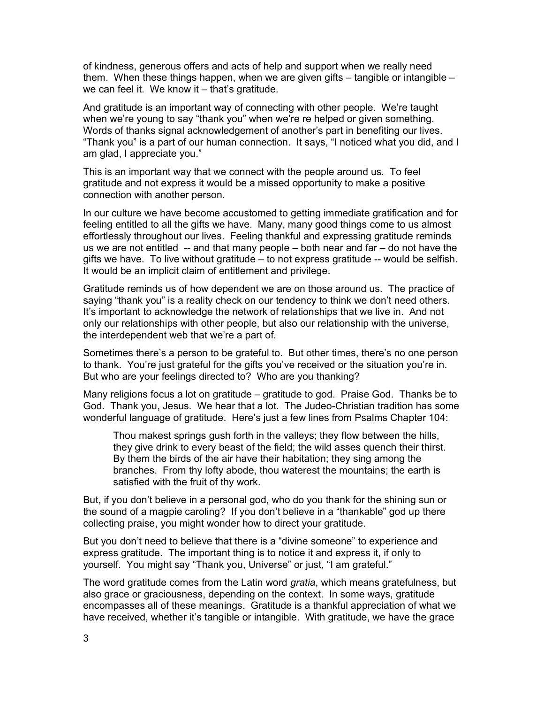of kindness, generous offers and acts of help and support when we really need them. When these things happen, when we are given gifts – tangible or intangible – we can feel it. We know it – that's gratitude.

And gratitude is an important way of connecting with other people. We're taught when we're young to say "thank you" when we're re helped or given something. Words of thanks signal acknowledgement of another's part in benefiting our lives. "Thank you" is a part of our human connection. It says, "I noticed what you did, and I am glad, I appreciate you."

This is an important way that we connect with the people around us. To feel gratitude and not express it would be a missed opportunity to make a positive connection with another person.

In our culture we have become accustomed to getting immediate gratification and for feeling entitled to all the gifts we have. Many, many good things come to us almost effortlessly throughout our lives. Feeling thankful and expressing gratitude reminds us we are not entitled -- and that many people – both near and far – do not have the gifts we have. To live without gratitude – to not express gratitude -- would be selfish. It would be an implicit claim of entitlement and privilege.

Gratitude reminds us of how dependent we are on those around us. The practice of saying "thank you" is a reality check on our tendency to think we don't need others. It's important to acknowledge the network of relationships that we live in. And not only our relationships with other people, but also our relationship with the universe, the interdependent web that we're a part of.

Sometimes there's a person to be grateful to. But other times, there's no one person to thank. You're just grateful for the gifts you've received or the situation you're in. But who are your feelings directed to? Who are you thanking?

Many religions focus a lot on gratitude – gratitude to god. Praise God. Thanks be to God. Thank you, Jesus. We hear that a lot. The Judeo-Christian tradition has some wonderful language of gratitude. Here's just a few lines from Psalms Chapter 104:

Thou makest springs gush forth in the valleys; they flow between the hills, they give drink to every beast of the field; the wild asses quench their thirst. By them the birds of the air have their habitation; they sing among the branches. From thy lofty abode, thou waterest the mountains; the earth is satisfied with the fruit of thy work.

But, if you don't believe in a personal god, who do you thank for the shining sun or the sound of a magpie caroling? If you don't believe in a "thankable" god up there collecting praise, you might wonder how to direct your gratitude.

But you don't need to believe that there is a "divine someone" to experience and express gratitude. The important thing is to notice it and express it, if only to yourself. You might say "Thank you, Universe" or just, "I am grateful."

The word gratitude comes from the Latin word *gratia*, which means gratefulness, but also grace or graciousness, depending on the context. In some ways, gratitude encompasses all of these meanings. Gratitude is a thankful appreciation of what we have received, whether it's tangible or intangible. With gratitude, we have the grace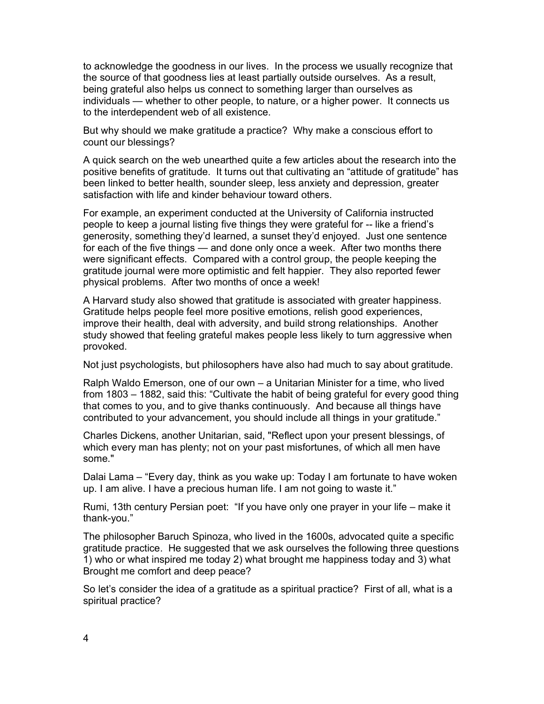to acknowledge the goodness in our lives. In the process we usually recognize that the source of that goodness lies at least partially outside ourselves. As a result, being grateful also helps us connect to something larger than ourselves as individuals — whether to other people, to nature, or a higher power. It connects us to the interdependent web of all existence.

But why should we make gratitude a practice? Why make a conscious effort to count our blessings?

A quick search on the web unearthed quite a few articles about the research into the positive benefits of gratitude. It turns out that cultivating an "attitude of gratitude" has been linked to better health, sounder sleep, less anxiety and depression, greater satisfaction with life and kinder behaviour toward others.

For example, an experiment conducted at the University of California instructed people to keep a journal listing five things they were grateful for -- like a friend's generosity, something they'd learned, a sunset they'd enjoyed. Just one sentence for each of the five things — and done only once a week. After two months there were significant effects. Compared with a control group, the people keeping the gratitude journal were more optimistic and felt happier. They also reported fewer physical problems. After two months of once a week!

A Harvard study also showed that gratitude is associated with greater happiness. Gratitude helps people feel more positive emotions, relish good experiences, improve their health, deal with adversity, and build strong relationships. Another study showed that feeling grateful makes people less likely to turn aggressive when provoked.

Not just psychologists, but philosophers have also had much to say about gratitude.

Ralph Waldo Emerson, one of our own – a Unitarian Minister for a time, who lived from 1803 – 1882, said this: "Cultivate the habit of being grateful for every good thing that comes to you, and to give thanks continuously. And because all things have contributed to your advancement, you should include all things in your gratitude."

Charles Dickens, another Unitarian, said, "Reflect upon your present blessings, of which every man has plenty; not on your past misfortunes, of which all men have some."

Dalai Lama – "Every day, think as you wake up: Today I am fortunate to have woken up. I am alive. I have a precious human life. I am not going to waste it."

Rumi, 13th century Persian poet: "If you have only one prayer in your life – make it thank-you."

The philosopher Baruch Spinoza, who lived in the 1600s, advocated quite a specific gratitude practice. He suggested that we ask ourselves the following three questions 1) who or what inspired me today 2) what brought me happiness today and 3) what Brought me comfort and deep peace?

So let's consider the idea of a gratitude as a spiritual practice? First of all, what is a spiritual practice?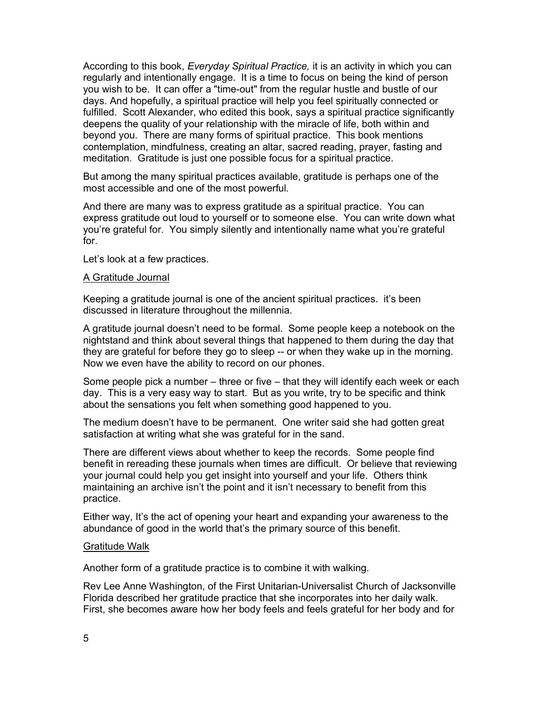According to this book, Everyday Spiritual Practice, it is an activity in which you can regularly and intentionally engage. It is a time to focus on being the kind of person you wish to be. It can offer a "time-out" from the regular hustle and bustle of our days. And hopefully, a spiritual practice will help you feel spiritually connected or fulfilled. Scott Alexander, who edited this book, says a spiritual practice significantly deepens the quality of your relationship with the miracle of life, both within and beyond you. There are many forms of spiritual practice. This book mentions contemplation, mindfulness, creating an altar, sacred reading, prayer, fasting and meditation. Gratitude is just one possible focus for a spiritual practice.

But among the many spiritual practices available, gratitude is perhaps one of the most accessible and one of the most powerful.

And there are many was to express gratitude as a spiritual practice. You can express gratitude out loud to yourself or to someone else. You can write down what you're grateful for. You simply silently and intentionally name what you're grateful for.

Let's look at a few practices.

#### A Gratitude Journal

Keeping a gratitude journal is one of the ancient spiritual practices. it's been discussed in literature throughout the millennia.

A gratitude journal doesn't need to be formal. Some people keep a notebook on the nightstand and think about several things that happened to them during the day that they are grateful for before they go to sleep -- or when they wake up in the morning. Now we even have the ability to record on our phones.

Some people pick a number – three or five – that they will identify each week or each day. This is a very easy way to start. But as you write, try to be specific and think about the sensations you felt when something good happened to you.

The medium doesn't have to be permanent. One writer said she had gotten great satisfaction at writing what she was grateful for in the sand.

There are different views about whether to keep the records. Some people find benefit in rereading these journals when times are difficult. Or believe that reviewing your journal could help you get insight into yourself and your life. Others think maintaining an archive isn't the point and it isn't necessary to benefit from this practice.

Either way, It's the act of opening your heart and expanding your awareness to the abundance of good in the world that's the primary source of this benefit.

#### Gratitude Walk

Another form of a gratitude practice is to combine it with walking.

Rev Lee Anne Washington, of the First Unitarian-Universalist Church of Jacksonville Florida described her gratitude practice that she incorporates into her daily walk. First, she becomes aware how her body feels and feels grateful for her body and for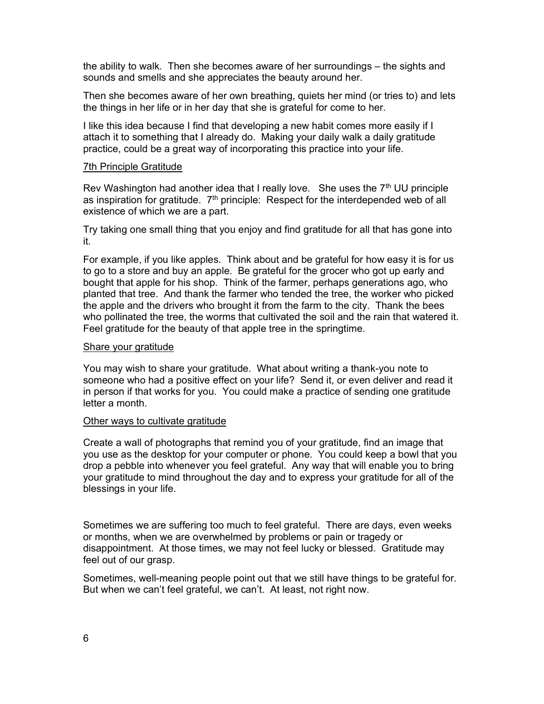the ability to walk. Then she becomes aware of her surroundings – the sights and sounds and smells and she appreciates the beauty around her.

Then she becomes aware of her own breathing, quiets her mind (or tries to) and lets the things in her life or in her day that she is grateful for come to her.

I like this idea because I find that developing a new habit comes more easily if I attach it to something that I already do. Making your daily walk a daily gratitude practice, could be a great way of incorporating this practice into your life.

#### 7th Principle Gratitude

Rev Washington had another idea that I really love. She uses the  $7<sup>th</sup>$  UU principle as inspiration for gratitude.  $7<sup>th</sup>$  principle: Respect for the interdepended web of all existence of which we are a part.

Try taking one small thing that you enjoy and find gratitude for all that has gone into it.

For example, if you like apples. Think about and be grateful for how easy it is for us to go to a store and buy an apple. Be grateful for the grocer who got up early and bought that apple for his shop. Think of the farmer, perhaps generations ago, who planted that tree. And thank the farmer who tended the tree, the worker who picked the apple and the drivers who brought it from the farm to the city. Thank the bees who pollinated the tree, the worms that cultivated the soil and the rain that watered it. Feel gratitude for the beauty of that apple tree in the springtime.

#### Share your gratitude

You may wish to share your gratitude. What about writing a thank-you note to someone who had a positive effect on your life? Send it, or even deliver and read it in person if that works for you. You could make a practice of sending one gratitude letter a month.

### Other ways to cultivate gratitude

Create a wall of photographs that remind you of your gratitude, find an image that you use as the desktop for your computer or phone. You could keep a bowl that you drop a pebble into whenever you feel grateful. Any way that will enable you to bring your gratitude to mind throughout the day and to express your gratitude for all of the blessings in your life.

Sometimes we are suffering too much to feel grateful. There are days, even weeks or months, when we are overwhelmed by problems or pain or tragedy or disappointment. At those times, we may not feel lucky or blessed. Gratitude may feel out of our grasp.

Sometimes, well-meaning people point out that we still have things to be grateful for. But when we can't feel grateful, we can't. At least, not right now.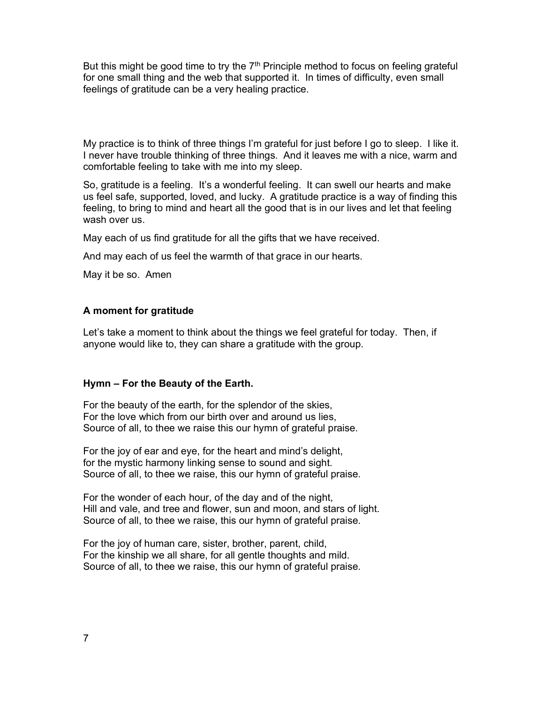But this might be good time to try the  $7<sup>th</sup>$  Principle method to focus on feeling grateful for one small thing and the web that supported it. In times of difficulty, even small feelings of gratitude can be a very healing practice.

My practice is to think of three things I'm grateful for just before I go to sleep. I like it. I never have trouble thinking of three things. And it leaves me with a nice, warm and comfortable feeling to take with me into my sleep.

So, gratitude is a feeling. It's a wonderful feeling. It can swell our hearts and make us feel safe, supported, loved, and lucky. A gratitude practice is a way of finding this feeling, to bring to mind and heart all the good that is in our lives and let that feeling wash over us.

May each of us find gratitude for all the gifts that we have received.

And may each of us feel the warmth of that grace in our hearts.

May it be so. Amen

## A moment for gratitude

Let's take a moment to think about the things we feel grateful for today. Then, if anyone would like to, they can share a gratitude with the group.

### Hymn – For the Beauty of the Earth.

For the beauty of the earth, for the splendor of the skies, For the love which from our birth over and around us lies, Source of all, to thee we raise this our hymn of grateful praise.

For the joy of ear and eye, for the heart and mind's delight, for the mystic harmony linking sense to sound and sight. Source of all, to thee we raise, this our hymn of grateful praise.

For the wonder of each hour, of the day and of the night, Hill and vale, and tree and flower, sun and moon, and stars of light. Source of all, to thee we raise, this our hymn of grateful praise.

For the joy of human care, sister, brother, parent, child, For the kinship we all share, for all gentle thoughts and mild. Source of all, to thee we raise, this our hymn of grateful praise.